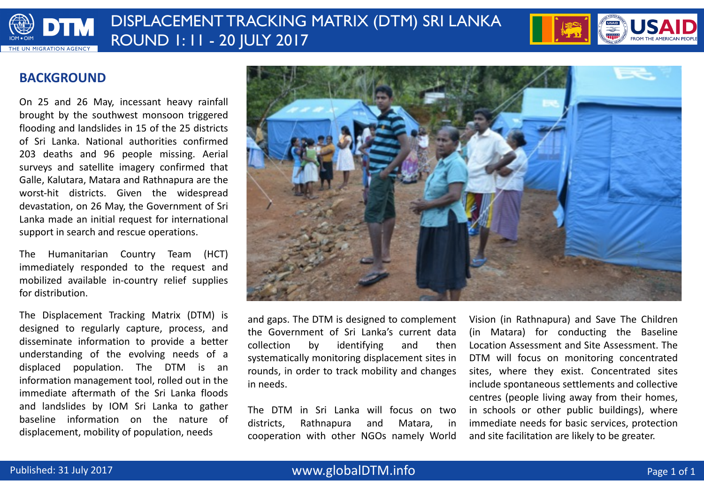

# DISPLACEMENT TRACKING MATRIX (DTM) SRI LANKA ROUND 1: 11 - 20 JULY 2017



### **BACKGROUND**

On 25 and 26 May, incessant heavy rainfall brought by the southwest monsoon triggered flooding and landslides in 15 of the 25 districts of Sri Lanka. National authorities confirmed 203 deaths and 96 people missing. Aerial surveys and satellite imagery confirmed that Galle, Kalutara, Matara and Rathnapura are the worst-hit districts. Given the widespread devastation, on 26 May, the Government of Sri Lanka made an initial request for international support in search and rescue operations.

The Humanitarian Country Team (HCT) immediately responded to the request and mobilized available in-country relief supplies for distribution.

The Displacement Tracking Matrix (DTM) is designed to regularly capture, process, and disseminate information to provide a better understanding of the evolving needs of a displaced population. The DTM is an information management tool, rolled out in the immediate aftermath of the Sri Lanka floods and landslides by IOM Sri Lanka to gather baseline information on the nature of displacement, mobility of population, needs



and gaps. The DTM is designed to complement the Government of Sri Lanka's current data collection by identifying and then systematically monitoring displacement sites in rounds, in order to track mobility and changes in needs.

The DTM in Sri Lanka will focus on two districts, Rathnapura and Matara, in cooperation with other NGOs namely World Vision (in Rathnapura) and Save The Children (in Matara) for conducting the Baseline Location Assessment and Site Assessment. The DTM will focus on monitoring concentrated sites, where they exist. Concentrated sites include spontaneous settlements and collective centres (people living away from their homes, in schools or other public buildings), where immediate needs for basic services, protection and site facilitation are likely to be greater.

### www.globalDTM.info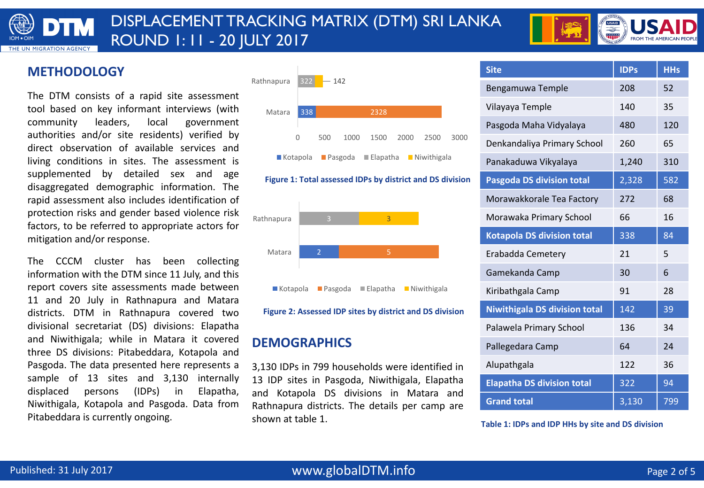

# DISPLACEMENT TRACKING MATRIX (DTM) SRI LANKA ROUND 1: 11 - 20 JULY 2017



### **METHODOLOGY**

The DTM consists of a rapid site assessment tool based on key informant interviews (with community leaders, local government authorities and/or site residents) verified by direct observation of available services and living conditions in sites. The assessment is supplemented by detailed sex and age disaggregated demographic information. The rapid assessment also includes identification of protection risks and gender based violence risk factors, to be referred to appropriate actors for mitigation and/or response.

The CCCM cluster has been collecting information with the DTM since 11 July, and this report covers site assessments made between 11 and 20 July in Rathnapura and Matara districts. DTM in Rathnapura covered two divisional secretariat (DS) divisions: Elapatha and Niwithigala; while in Matara it covered three DS divisions: Pitabeddara, Kotapola and Pasgoda. The data presented here represents a sample of 13 sites and 3,130 internally displaced persons (IDPs) in Elapatha, Niwithigala, Kotapola and Pasgoda. Data from Pitabeddara is currently ongoing.



#### **Figure 1: Total assessed IDPs by district and DS division**



Figure 2: Assessed IDP sites by district and DS division

### **DEMOGRAPHICS**

3,130 IDPs in 799 households were identified in 13 IDP sites in Pasgoda, Niwithigala, Elapatha and Kotapola DS divisions in Matara and Rathnapura districts. The details per camp are shown at table 1.

| <b>Site</b>                          | <b>IDPs</b> | <b>HHs</b> |
|--------------------------------------|-------------|------------|
| Bengamuwa Temple                     | 208         | 52         |
| Vilayaya Temple                      | 140         | 35         |
| Pasgoda Maha Vidyalaya               | 480         | 120        |
| Denkandaliya Primary School          | 260         | 65         |
| Panakaduwa Vikyalaya                 | 1,240       | 310        |
| <b>Pasgoda DS division total</b>     | 2,328       | 582        |
| Morawakkorale Tea Factory            | 272         | 68         |
| Morawaka Primary School              | 66          | 16         |
| <b>Kotapola DS division total</b>    | 338         | 84         |
| Erabadda Cemetery                    | 21          | 5          |
| Gamekanda Camp                       | 30          | 6          |
| Kiribathgala Camp                    | 91          | 28         |
| <b>Niwithigala DS division total</b> | 142         | 39         |
| Palawela Primary School              | 136         | 34         |
| Pallegedara Camp                     | 64          | 24         |
| Alupathgala                          | 122         | 36         |
| <b>Elapatha DS division total</b>    | 322         | 94         |
| <b>Grand total</b>                   | 3,130       | 799        |

#### Table 1: IDPs and IDP HHs by site and DS division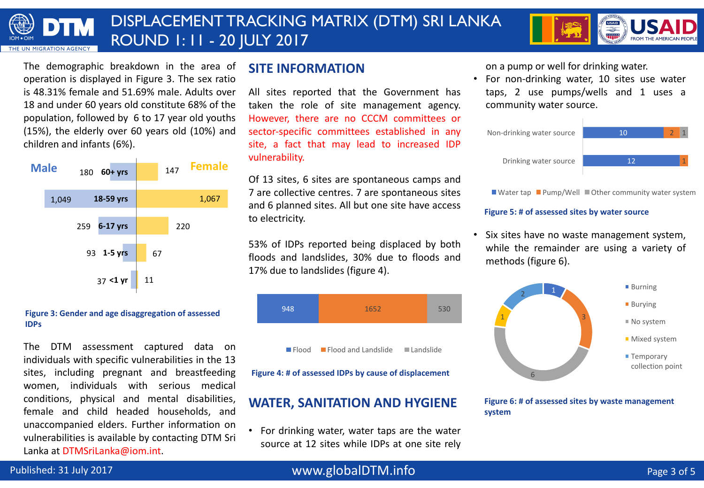#### DISPLACEMENT TRACKING MATRIX (DTM) SRI LANKA DTM ROUND 1: 11 - 20 JULY 2017 **MIGRATION AGENC**



The demographic breakdown in the area of operation is displayed in Figure 3. The sex ratio is 48.31% female and 51.69% male. Adults over 18 and under 60 years old constitute 68% of the population, followed by 6 to 17 year old youths (15%), the elderly over 60 years old (10%) and children and infants (6%).



#### Figure 3: Gender and age disaggregation of assessed **IDPs**

The DTM assessment captured data on individuals with specific vulnerabilities in the 13 sites, including pregnant and breastfeeding women, individuals with serious medical conditions, physical and mental disabilities, female and child headed households, and unaccompanied elders. Further information on vulnerabilities is available by contacting DTM Sri Lanka at DTMSriLanka@iom.int.

### **SITE INFORMATION**

All sites reported that the Government has taken the role of site management agency. However, there are no CCCM committees or sector-specific committees established in any site, a fact that may lead to increased IDP vulnerability.

Of 13 sites, 6 sites are spontaneous camps and 7 are collective centres. 7 are spontaneous sites and 6 planned sites. All but one site have access to electricity.

53% of IDPs reported being displaced by both floods and landslides, 30% due to floods and 17% due to landslides (figure 4).



Flood Flood and Landslide Landslide

Figure 4: # of assessed IDPs by cause of displacement

### **WATER, SANITATION AND HYGIENE**

• For drinking water, water taps are the water source at 12 sites while IDPs at one site rely on a pump or well for drinking water.

• For non-drinking water, 10 sites use water taps, 2 use pumps/wells and 1 uses a community water source.



Water tap Pump/Well Other community water system

#### **Figure 5: # of assessed sites by water source**

• Six sites have no waste management system, while the remainder are using a variety of methods (figure 6).



#### **Figure 6: # of assessed sites by waste management system**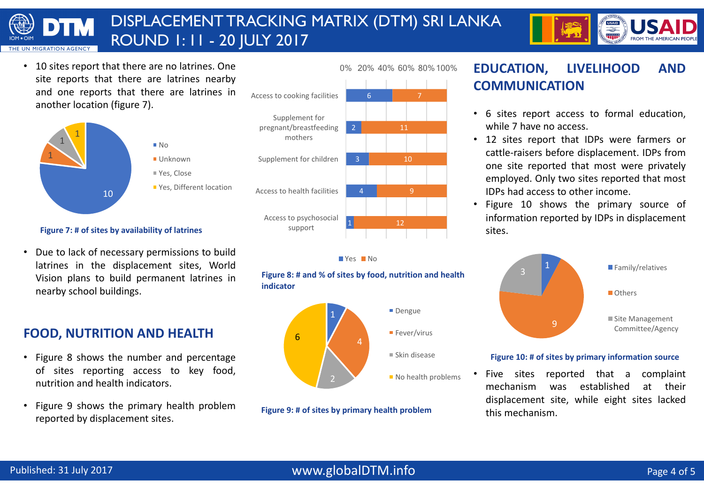#### DISPLACEMENT TRACKING MATRIX (DTM) SRI LANKA DTM ROUND 1: 11 - 20 JULY 2017 **MIGRATION AGENC**



• 10 sites report that there are no latrines. One site reports that there are latrines nearby and one reports that there are latrines in another location (figure 7).



#### **Figure 7: # of sites by availability of latrines**

• Due to lack of necessary permissions to build latrines in the displacement sites, World Vision plans to build permanent latrines in nearby school buildings.

## **FOOD, NUTRITION AND HEALTH**

- Figure 8 shows the number and percentage of sites reporting access to key food, nutrition and health indicators.
- Figure 9 shows the primary health problem reported by displacement sites.





**Figure 8: # and % of sites by food, nutrition and health indicator**



**Figure 9: # of sites by primary health problem** 

## **EDUCATION, LIVELIHOOD AND COMMUNICATION**

- 6 sites report access to formal education, while 7 have no access.
- 12 sites report that IDPs were farmers or cattle-raisers before displacement. IDPs from one site reported that most were privately employed. Only two sites reported that most IDPs had access to other income.
- Figure 10 shows the primary source of information reported by IDPs in displacement sites.



#### Figure 10: # of sites by primary information source

• Five sites reported that a complaint mechanism was established at their displacement site, while eight sites lacked this mechanism.

### www.globalDTM.info Page 4 of 5